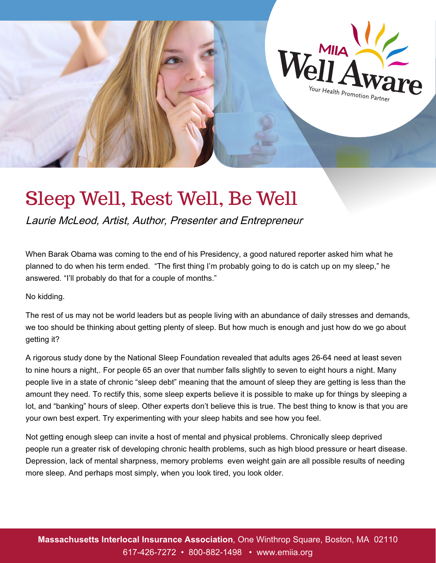

# Sleep Well, Rest Well, Be Well

*Laurie McLeod, Artist, Author, Presenter and Entrepreneur*

*When Barak Obama was coming to the end of his Presidency, a good natured reporter asked him what he planned to do when his term ended. "The first thing I'm probably going to do is catch up on my sleep," he answered. "I'll probably do that for a couple of months."*

*No kidding.*

*The rest of us may not be world leaders but as people living with an abundance of daily stresses and demands,*  we too should be thinking about getting plenty of sleep. But how much is enough and just how do we go about *getting it?*

*A rigorous study done by the National Sleep Foundation revealed that adults ages 26-64 need at least seven to nine hours a night,. For people 65 an over that number falls slightly to seven to eight hours a night. Many people live in a state of chronic "sleep debt" meaning that the amount of sleep they are getting is less than the amount they need. To rectify this, some sleep experts believe it is possible to make up for things by sleeping a*  lot, and "banking" hours of sleep. Other experts don't believe this is true. The best thing to know is that you are *your own best expert. Try experimenting with your sleep habits and see how you feel.*

*Not getting enough sleep can invite a host of mental and physical problems. Chronically sleep deprived people run a greater risk of developing chronic health problems, such as high blood pressure or heart disease. Depression, lack of mental sharpness, memory problems even weight gain are all possible results of needing more sleep. And perhaps most simply, when you look tired, you look older.*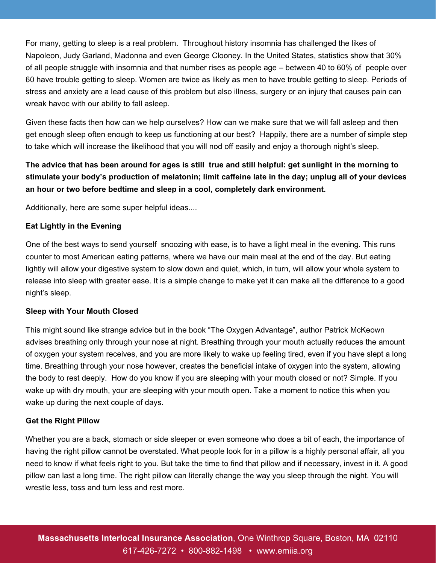*For many, getting to sleep is a real problem. Throughout history insomnia has challenged the likes of Napoleon, Judy Garland, Madonna and even George Clooney. In the United States, statistics show that 30% of all people struggle with insomnia and that number rises as people age – between 40 to 60% of people over 60 have trouble getting to sleep. Women are twice as likely as men to have trouble getting to sleep. Periods of stress and anxiety are a lead cause of this problem but also illness, surgery or an injury that causes pain can wreak havoc with our ability to fall asleep.*

*Given these facts then how can we help ourselves? How can we make sure that we will fall asleep and then get enough sleep often enough to keep us functioning at our best? Happily, there are a number of simple step to take which will increase the likelihood that you will nod off easily and enjoy a thorough night's sleep.*

# *The advice that has been around for ages is still true and still helpful: get sunlight in the morning to stimulate your body's production of melatonin; limit caffeine late in the day; unplug all of your devices an hour or two before bedtime and sleep in a cool, completely dark environment.*

*Additionally, here are some super helpful ideas....*

## *Eat Lightly in the Evening*

*One of the best ways to send yourself snoozing with ease, is to have a light meal in the evening. This runs counter to most American eating patterns, where we have our main meal at the end of the day. But eating*  lightly will allow your digestive system to slow down and quiet, which, in turn, will allow your whole system to *release into sleep with greater ease. It is a simple change to make yet it can make all the difference to a good night's sleep.*

## *Sleep with Your Mouth Closed*

*This might sound like strange advice but in the book "The Oxygen Advantage", author Patrick McKeown advises breathing only through your nose at night. Breathing through your mouth actually reduces the amount of oxygen your system receives, and you are more likely to wake up feeling tired, even if you have slept a long time. Breathing through your nose however, creates the beneficial intake of oxygen into the system, allowing the body to rest deeply. How do you know if you are sleeping with your mouth closed or not? Simple. If you wake up with dry mouth, your are sleeping with your mouth open. Take a moment to notice this when you wake up during the next couple of days.*

## *Get the Right Pillow*

*Whether you are a back, stomach or side sleeper or even someone who does a bit of each, the importance of having the right pillow cannot be overstated. What people look for in a pillow is a highly personal affair, all you need to know if what feels right to you. But take the time to find that pillow and if necessary, invest in it. A good pillow can last a long time. The right pillow can literally change the way you sleep through the night. You will wrestle less, toss and turn less and rest more.*